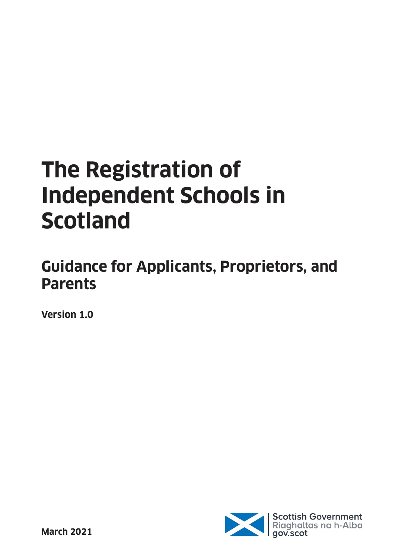# **The Registration of Independent Schools in Scotland**

# **Guidance for Applicants, Proprietors, and Parents**

**Version 1.0**

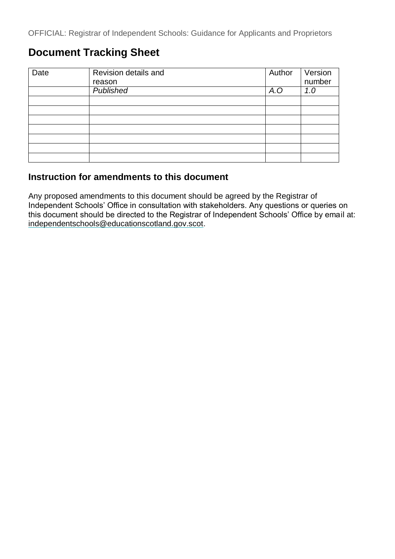# **Document Tracking Sheet**

| Date | Revision details and | Author | Version |
|------|----------------------|--------|---------|
|      | reason               |        | number  |
|      | <b>Published</b>     | A.O    | 1.0     |
|      |                      |        |         |
|      |                      |        |         |
|      |                      |        |         |
|      |                      |        |         |
|      |                      |        |         |
|      |                      |        |         |
|      |                      |        |         |

## **Instruction for amendments to this document**

Any proposed amendments to this document should be agreed by the Registrar of Independent Schools' Office in consultation with stakeholders. Any questions or queries on this document should be directed to the Registrar of Independent Schools' Office by email at: [independentschools@educationscotland.gov.scot.](mailto:independentschools@educationscotland.gov.scot)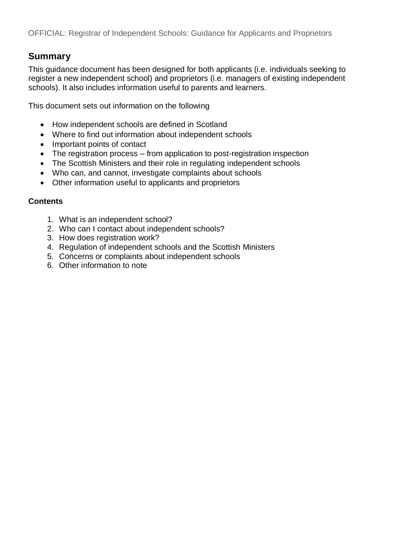## **Summary**

This guidance document has been designed for both applicants (i.e. individuals seeking to register a new independent school) and proprietors (i.e. managers of existing independent schools). It also includes information useful to parents and learners.

This document sets out information on the following

- How independent schools are defined in Scotland
- Where to find out information about independent schools
- Important points of contact
- The registration process from application to post-registration inspection
- The Scottish Ministers and their role in regulating independent schools
- Who can, and cannot, investigate complaints about schools
- Other information useful to applicants and proprietors

#### **Contents**

- 1. What is an independent school?
- 2. Who can I contact about independent schools?
- 3. How does registration work?
- 4. Regulation of independent schools and the Scottish Ministers
- 5. Concerns or complaints about independent schools
- 6. Other information to note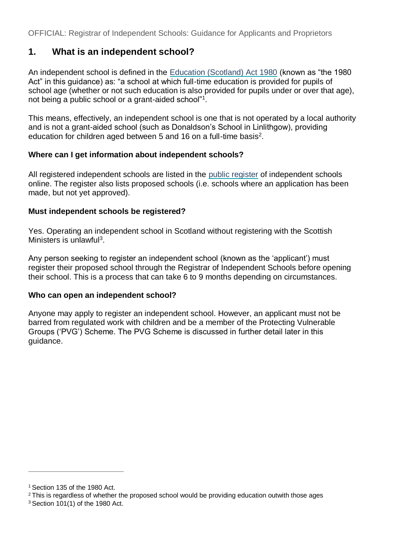# **1. What is an independent school?**

An independent school is defined in the [Education \(Scotland\) Act 1980](http://www.legislation.gov.uk/ukpga/1980/44/contents) (known as "the 1980 Act" in this guidance) as: "a school at which full-time education is provided for pupils of school age (whether or not such education is also provided for pupils under or over that age), not being a public school or a grant-aided school"[1](#page-3-0) .

This means, effectively, an independent school is one that is not operated by a local authority and is not a grant-aided school (such as Donaldson's School in Linlithgow), providing education for children aged between 5 and 16 on a full-time basis<sup>[2](#page-3-1)</sup>.

#### **Where can I get information about independent schools?**

All registered independent schools are listed in the [public register](https://www.gov.scot/publications/independent-schools-in-scotland-register/) of independent schools online. The register also lists proposed schools (i.e. schools where an application has been made, but not yet approved).

#### **Must independent schools be registered?**

Yes. Operating an independent school in Scotland without registering with the Scottish Ministers is unlawful<sup>[3](#page-3-2)</sup>.

Any person seeking to register an independent school (known as the 'applicant') must register their proposed school through the Registrar of Independent Schools before opening their school. This is a process that can take 6 to 9 months depending on circumstances.

#### **Who can open an independent school?**

Anyone may apply to register an independent school. However, an applicant must not be barred from regulated work with children and be a member of the Protecting Vulnerable Groups ('PVG') Scheme. The PVG Scheme is discussed in further detail later in this guidance.

<span id="page-3-0"></span><sup>&</sup>lt;sup>1</sup> Section 135 of the 1980 Act.

<span id="page-3-1"></span><sup>&</sup>lt;sup>2</sup> This is regardless of whether the proposed school would be providing education outwith those ages

<span id="page-3-2"></span><sup>3</sup> Section 101(1) of the 1980 Act.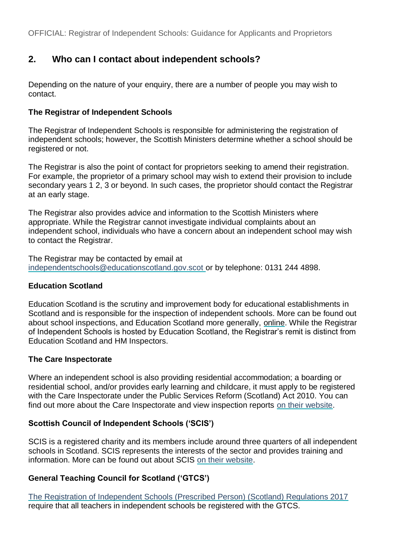# **2. Who can I contact about independent schools?**

Depending on the nature of your enquiry, there are a number of people you may wish to contact.

#### **The Registrar of Independent Schools**

The Registrar of Independent Schools is responsible for administering the registration of independent schools; however, the Scottish Ministers determine whether a school should be registered or not.

The Registrar is also the point of contact for proprietors seeking to amend their registration. For example, the proprietor of a primary school may wish to extend their provision to include secondary years 1 2, 3 or beyond. In such cases, the proprietor should contact the Registrar at an early stage.

The Registrar also provides advice and information to the Scottish Ministers where appropriate. While the Registrar cannot investigate individual complaints about an independent school, individuals who have a concern about an independent school may wish to contact the Registrar.

The Registrar may be contacted by email at [independentschools@educationscotland.gov.scot o](mailto:independentschools@educationscotland.gov.scot)r by telephone: 0131 244 4898.

#### **Education Scotland**

Education Scotland is the scrutiny and improvement body for educational establishments in Scotland and is responsible for the inspection of independent schools. More can be found out about school inspections, and Education Scotland more generally, [online.](https://education.gov.scot/what-we-do/inspection-and-review) While the Registrar of Independent Schools is hosted by Education Scotland, the Registrar's remit is distinct from Education Scotland and HM Inspectors.

#### **The Care Inspectorate**

Where an independent school is also providing residential accommodation; a boarding or residential school, and/or provides early learning and childcare, it must apply to be registered with the Care Inspectorate under the Public Services Reform (Scotland) Act 2010. You can find out more about the Care Inspectorate and view inspection reports [on their website.](http://www.careinspectorate.com/)

#### **Scottish Council of Independent Schools ('SCIS')**

SCIS is a registered charity and its members include around three quarters of all independent schools in Scotland. SCIS represents the interests of the sector and provides training and information. More can be found out about SCIS [on their website.](http://www.scis.org.uk/)

#### **General Teaching Council for Scotland ('GTCS')**

[The Registration of Independent Schools \(Prescribed Person\) \(Scotland\) Regulations 2017](http://www.legislation.gov.uk/ssi/2017/259/made) require that all teachers in independent schools be registered with the GTCS.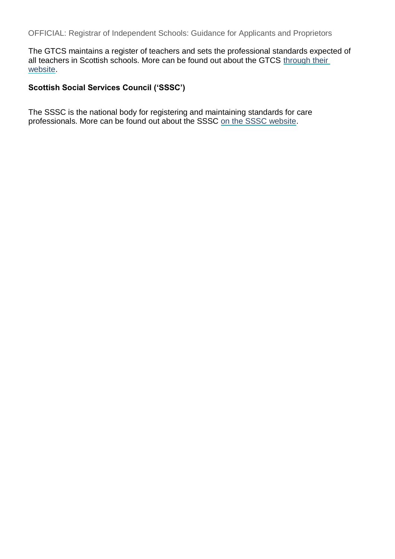The GTCS maintains a register of teachers and sets the professional standards expected of all teachers in Scottish schools. More can be found out about the GTCS [through their](https://www.gtcs.org.uk/about-gtcs/statutory-functions.aspx)  [website.](https://www.gtcs.org.uk/about-gtcs/statutory-functions.aspx)

#### **Scottish Social Services Council ('SSSC')**

The SSSC is the national body for registering and maintaining standards for care professionals. More can be found out about the SSSC [on the SSSC website.](https://www.sssc.uk.com/)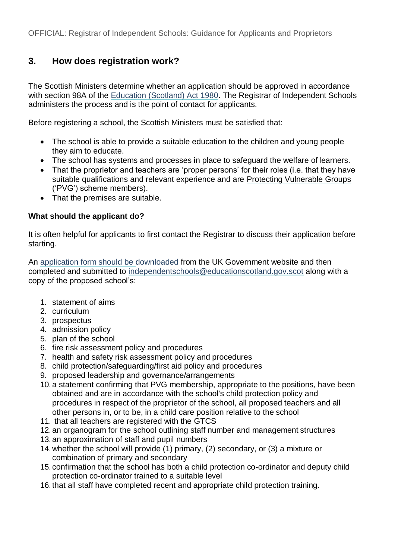# **3. How does registration work?**

The Scottish Ministers determine whether an application should be approved in accordance with section 98A of the [Education \(Scotland\) Act 1980.](http://www.legislation.gov.uk/ukpga/1980/44/contents) The Registrar of Independent Schools administers the process and is the point of contact for applicants.

Before registering a school, the Scottish Ministers must be satisfied that:

- The school is able to provide a suitable education to the children and young people they aim to educate.
- The school has systems and processes in place to safeguard the welfare of learners.
- That the proprietor and teachers are 'proper persons' for their roles (i.e. that they have suitable qualifications and relevant experience and are Protecting Vulnerable Groups ('PVG') scheme members).
- That the premises are suitable.

#### **What should the applicant do?**

It is often helpful for applicants to first contact the Registrar to discuss their application before starting.

An [application form should be downloaded](https://www.gov.uk/independent-school-registration-scotland) from the UK Government website and then completed and submitted to [independentschools@educationscotland.gov.scot](mailto:independentschools@educationscotland.gov.scot) along with a copy of the proposed school's:

- 1. statement of aims
- 2. curriculum
- 3. prospectus
- 4. admission policy
- 5. plan of the school
- 6. fire risk assessment policy and procedures
- 7. health and safety risk assessment policy and procedures
- 8. child protection/safeguarding/first aid policy and procedures
- 9. proposed leadership and governance/arrangements
- 10. a statement confirming that PVG membership, appropriate to the positions, have been obtained and are in accordance with the school's child protection policy and procedures in respect of the proprietor of the school, all proposed teachers and all other persons in, or to be, in a child care position relative to the school
- 11. that all teachers are registered with the GTCS
- 12. an organogram for the school outlining staff number and management structures
- 13. an approximation of staff and pupil numbers
- 14.whether the school will provide (1) primary, (2) secondary, or (3) a mixture or combination of primary and secondary
- 15. confirmation that the school has both a child protection co-ordinator and deputy child protection co-ordinator trained to a suitable level
- 16. that all staff have completed recent and appropriate child protection training.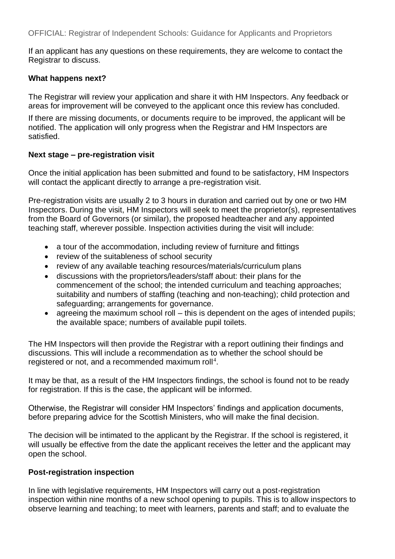If an applicant has any questions on these requirements, they are welcome to contact the Registrar to discuss.

#### **What happens next?**

The Registrar will review your application and share it with HM Inspectors. Any feedback or areas for improvement will be conveyed to the applicant once this review has concluded.

If there are missing documents, or documents require to be improved, the applicant will be notified. The application will only progress when the Registrar and HM Inspectors are satisfied.

#### **Next stage – pre-registration visit**

Once the initial application has been submitted and found to be satisfactory, HM Inspectors will contact the applicant directly to arrange a pre-registration visit.

Pre-registration visits are usually 2 to 3 hours in duration and carried out by one or two HM Inspectors. During the visit, HM Inspectors will seek to meet the proprietor(s), representatives from the Board of Governors (or similar), the proposed headteacher and any appointed teaching staff, wherever possible. Inspection activities during the visit will include:

- a tour of the accommodation, including review of furniture and fittings
- review of the suitableness of school security
- review of any available teaching resources/materials/curriculum plans
- discussions with the proprietors/leaders/staff about: their plans for the commencement of the school; the intended curriculum and teaching approaches; suitability and numbers of staffing (teaching and non-teaching); child protection and safeguarding; arrangements for governance.
- agreeing the maximum school roll this is dependent on the ages of intended pupils; the available space; numbers of available pupil toilets.

The HM Inspectors will then provide the Registrar with a report outlining their findings and discussions. This will include a recommendation as to whether the school should be registered or not, and a recommended maximum roll<sup>[4](#page-9-0)</sup>.

It may be that, as a result of the HM Inspectors findings, the school is found not to be ready for registration. If this is the case, the applicant will be informed.

Otherwise, the Registrar will consider HM Inspectors' findings and application documents, before preparing advice for the Scottish Ministers, who will make the final decision.

The decision will be intimated to the applicant by the Registrar. If the school is registered, it will usually be effective from the date the applicant receives the letter and the applicant may open the school.

#### **Post-registration inspection**

In line with legislative requirements, HM Inspectors will carry out a post-registration inspection within nine months of a new school opening to pupils. This is to allow inspectors to observe learning and teaching; to meet with learners, parents and staff; and to evaluate the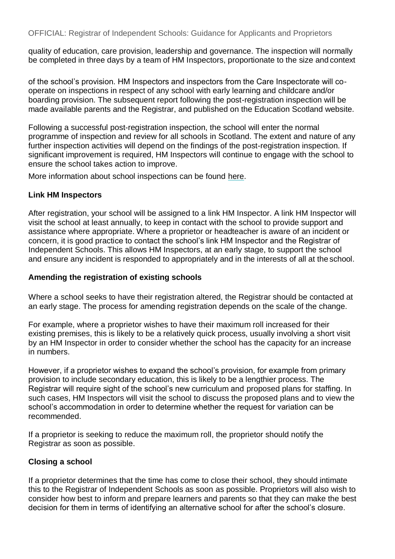quality of education, care provision, leadership and governance. The inspection will normally be completed in three days by a team of HM Inspectors, proportionate to the size and context

of the school's provision. HM Inspectors and inspectors from the Care Inspectorate will cooperate on inspections in respect of any school with early learning and childcare and/or boarding provision. The subsequent report following the post-registration inspection will be made available parents and the Registrar, and published on the Education Scotland website.

Following a successful post-registration inspection, the school will enter the normal programme of inspection and review for all schools in Scotland. The extent and nature of any further inspection activities will depend on the findings of the post-registration inspection. If significant improvement is required, HM Inspectors will continue to engage with the school to ensure the school takes action to improve.

More information about school inspections can be found [here.](https://education.gov.scot/education-scotland/what-we-do/inspection-and-review/)

#### **Link HM Inspectors**

After registration, your school will be assigned to a link HM Inspector. A link HM Inspector will visit the school at least annually, to keep in contact with the school to provide support and assistance where appropriate. Where a proprietor or headteacher is aware of an incident or concern, it is good practice to contact the school's link HM Inspector and the Registrar of Independent Schools. This allows HM Inspectors, at an early stage, to support the school and ensure any incident is responded to appropriately and in the interests of all at the school.

#### **Amending the registration of existing schools**

Where a school seeks to have their registration altered, the Registrar should be contacted at an early stage. The process for amending registration depends on the scale of the change.

For example, where a proprietor wishes to have their maximum roll increased for their existing premises, this is likely to be a relatively quick process, usually involving a short visit by an HM Inspector in order to consider whether the school has the capacity for an increase in numbers.

However, if a proprietor wishes to expand the school's provision, for example from primary provision to include secondary education, this is likely to be a lengthier process. The Registrar will require sight of the school's new curriculum and proposed plans for staffing. In such cases, HM Inspectors will visit the school to discuss the proposed plans and to view the school's accommodation in order to determine whether the request for variation can be recommended.

If a proprietor is seeking to reduce the maximum roll, the proprietor should notify the Registrar as soon as possible.

#### **Closing a school**

If a proprietor determines that the time has come to close their school, they should intimate this to the Registrar of Independent Schools as soon as possible. Proprietors will also wish to consider how best to inform and prepare learners and parents so that they can make the best decision for them in terms of identifying an alternative school for after the school's closure.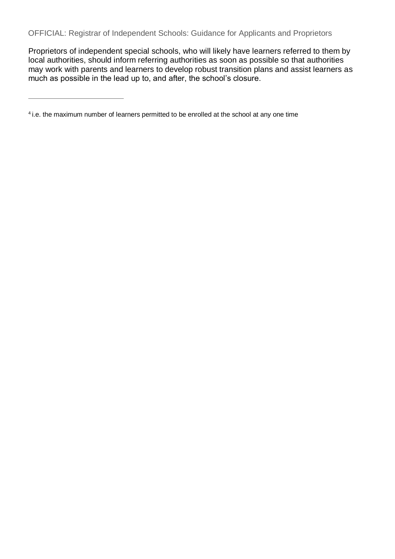Proprietors of independent special schools, who will likely have learners referred to them by local authorities, should inform referring authorities as soon as possible so that authorities may work with parents and learners to develop robust transition plans and assist learners as much as possible in the lead up to, and after, the school's closure.

<span id="page-9-0"></span><sup>&</sup>lt;sup>4</sup> i.e. the maximum number of learners permitted to be enrolled at the school at any one time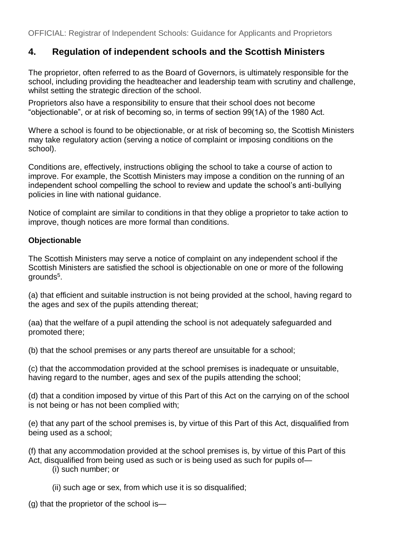# **4. Regulation of independent schools and the Scottish Ministers**

The proprietor, often referred to as the Board of Governors, is ultimately responsible for the school, including providing the headteacher and leadership team with scrutiny and challenge, whilst setting the strategic direction of the school.

Proprietors also have a responsibility to ensure that their school does not become "objectionable", or at risk of becoming so, in terms of section 99(1A) of the 1980 Act.

Where a school is found to be objectionable, or at risk of becoming so, the Scottish Ministers may take regulatory action (serving a notice of complaint or imposing conditions on the school).

Conditions are, effectively, instructions obliging the school to take a course of action to improve. For example, the Scottish Ministers may impose a condition on the running of an independent school compelling the school to review and update the school's anti-bullying policies in line with national guidance.

Notice of complaint are similar to conditions in that they oblige a proprietor to take action to improve, though notices are more formal than conditions.

#### **Objectionable**

The Scottish Ministers may serve a notice of complaint on any independent school if the Scottish Ministers are satisfied the school is objectionable on one or more of the following grounds $^5$  $^5$ .

(a) that efficient and suitable instruction is not being provided at the school, having regard to the ages and sex of the pupils attending thereat;

(aa) that the welfare of a pupil attending the school is not adequately safeguarded and promoted there;

(b) that the school premises or any parts thereof are unsuitable for a school;

(c) that the accommodation provided at the school premises is inadequate or unsuitable, having regard to the number, ages and sex of the pupils attending the school;

(d) that a condition imposed by virtue of this Part of this Act on the carrying on of the school is not being or has not been complied with;

(e) that any part of the school premises is, by virtue of this Part of this Act, disqualified from being used as a school;

(f) that any accommodation provided at the school premises is, by virtue of this Part of this Act, disqualified from being used as such or is being used as such for pupils of—

(i) such number; or

(ii) such age or sex, from which use it is so disqualified;

(g) that the proprietor of the school is—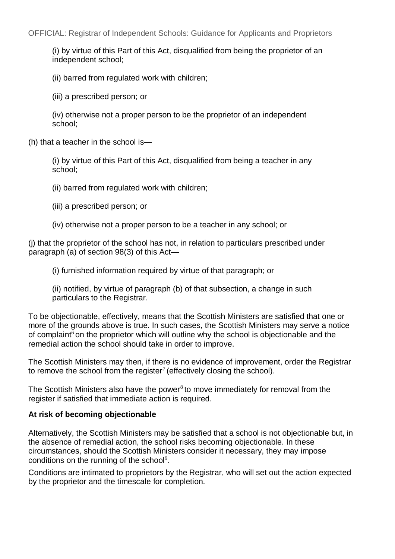(i) by virtue of this Part of this Act, disqualified from being the proprietor of an independent school;

(ii) barred from regulated work with children;

(iii) a prescribed person; or

(iv) otherwise not a proper person to be the proprietor of an independent school;

(h) that a teacher in the school is—

(i) by virtue of this Part of this Act, disqualified from being a teacher in any school;

(ii) barred from regulated work with children;

- (iii) a prescribed person; or
- (iv) otherwise not a proper person to be a teacher in any school; or

(j) that the proprietor of the school has not, in relation to particulars prescribed under paragraph (a) of section 98(3) of this Act—

(i) furnished information required by virtue of that paragraph; or

(ii) notified, by virtue of paragraph (b) of that subsection, a change in such particulars to the Registrar.

To be objectionable, effectively, means that the Scottish Ministers are satisfied that one or more of the grounds above is true. In such cases, the Scottish Ministers may serve a notice of complain[t](#page-12-1)<sup>6</sup> on the proprietor which will outline why the school is objectionable and the remedial action the school should take in order to improve.

The Scottish Ministers may then, if there is no evidence of improvement, order the Registrar to [r](#page-12-2)emove the school from the register<sup>7</sup> (effectively closing the school).

The Scottish Ministers also have the power $8$  to move immediately for removal from the register if satisfied that immediate action is required.

#### **At risk of becoming objectionable**

Alternatively, the Scottish Ministers may be satisfied that a school is not objectionable but, in the absence of remedial action, the school risks becoming objectionable. In these circumstances, should the Scottish Ministers consider it necessary, they may impose conditions on the running of the school<sup>[9](#page-12-4)</sup>.

Conditions are intimated to proprietors by the Registrar, who will set out the action expected by the proprietor and the timescale for completion.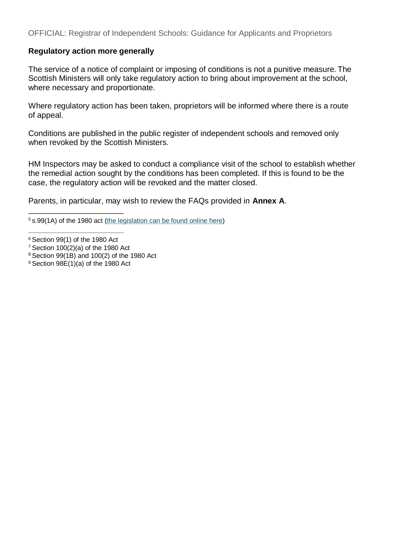#### **Regulatory action more generally**

The service of a notice of complaint or imposing of conditions is not a punitive measure. The Scottish Ministers will only take regulatory action to bring about improvement at the school, where necessary and proportionate.

Where regulatory action has been taken, proprietors will be informed where there is a route of appeal.

Conditions are published in the public register of independent schools and removed only when revoked by the Scottish Ministers.

HM Inspectors may be asked to conduct a compliance visit of the school to establish whether the remedial action sought by the conditions has been completed. If this is found to be the case, the regulatory action will be revoked and the matter closed.

Parents, in particular, may wish to review the FAQs provided in **Annex A**.

<sup>7</sup>Section 100(2)(a) of the 1980 Act

<span id="page-12-0"></span><sup>5</sup>s.99(1A) of the 1980 act [\(the legislation can be found online here\)](http://www.legislation.gov.uk/ukpga/1980/44/section/99)

<span id="page-12-2"></span><span id="page-12-1"></span> $6$  Section 99(1) of the 1980 Act

<span id="page-12-3"></span><sup>8</sup>Section 99(1B) and 100(2) of the 1980 Act

<span id="page-12-4"></span> $9$  Section 98E(1)(a) of the 1980 Act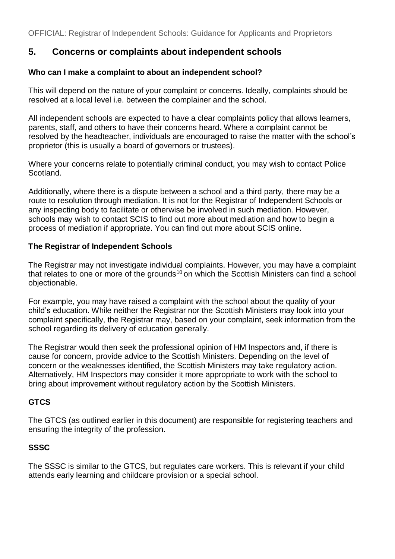# **5. Concerns or complaints about independent schools**

#### **Who can I make a complaint to about an independent school?**

This will depend on the nature of your complaint or concerns. Ideally, complaints should be resolved at a local level i.e. between the complainer and the school.

All independent schools are expected to have a clear complaints policy that allows learners, parents, staff, and others to have their concerns heard. Where a complaint cannot be resolved by the headteacher, individuals are encouraged to raise the matter with the school's proprietor (this is usually a board of governors or trustees).

Where your concerns relate to potentially criminal conduct, you may wish to contact Police Scotland.

Additionally, where there is a dispute between a school and a third party, there may be a route to resolution through mediation. It is not for the Registrar of Independent Schools or any inspecting body to facilitate or otherwise be involved in such mediation. However, schools may wish to contact SCIS to find out more about mediation and how to begin a process of mediation if appropriate. You can find out more about SCIS [online.](http://www.scis.org.uk/)

#### **The Registrar of Independent Schools**

The Registrar may not investigate individual complaints. However, you may have a complaint that relates to one or more of the grounds<sup>10</sup> on which the Scottish Ministers can find a school objectionable.

For example, you may have raised a complaint with the school about the quality of your child's education. While neither the Registrar nor the Scottish Ministers may look into your complaint specifically, the Registrar may, based on your complaint, seek information from the school regarding its delivery of education generally.

The Registrar would then seek the professional opinion of HM Inspectors and, if there is cause for concern, provide advice to the Scottish Ministers. Depending on the level of concern or the weaknesses identified, the Scottish Ministers may take regulatory action. Alternatively, HM Inspectors may consider it more appropriate to work with the school to bring about improvement without regulatory action by the Scottish Ministers.

#### **GTCS**

The GTCS (as outlined earlier in this document) are responsible for registering teachers and ensuring the integrity of the profession.

#### **SSSC**

The SSSC is similar to the GTCS, but regulates care workers. This is relevant if your child attends early learning and childcare provision or a special school.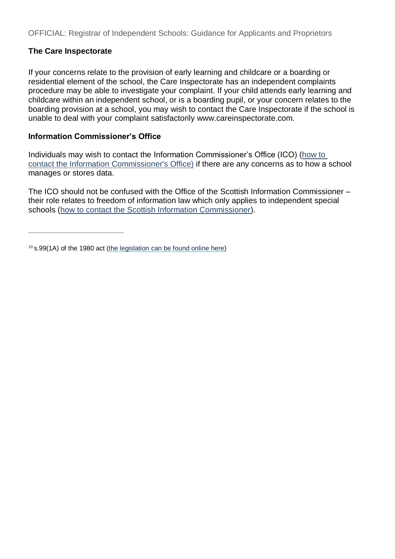#### **The Care Inspectorate**

If your concerns relate to the provision of early learning and childcare or a boarding or residential element of the school, the Care Inspectorate has an independent complaints procedure may be able to investigate your complaint. If your child attends early learning and childcare within an independent school, or is a boarding pupil, or your concern relates to the boarding provision at a school, you may wish to contact the Care Inspectorate if the school is unable to deal with your complaint satisfactori[ly www.careinspectorate.com.](http://www.careinspectorate.com/)

#### **Information Commissioner's Office**

Individuals may wish to contact the Information Commissioner's Office (ICO) [\(how to](https://ico.org.uk/)  [contact the Information Commissioner's Office\)](https://ico.org.uk/) if there are any concerns as to how a school manages or stores data.

The ICO should not be confused with the Office of the Scottish Information Commissioner – their role relates to freedom of information law which only applies to independent special schools [\(how to contact the Scottish Information Commissioner\)](http://itspublicknowledge.info/home/ScottishInformationCommissioner.aspx).

<span id="page-14-0"></span> $10$  s.99(1A) of the 1980 act [\(the legislation can be found online here\)](http://www.legislation.gov.uk/ukpga/1980/44/section/99)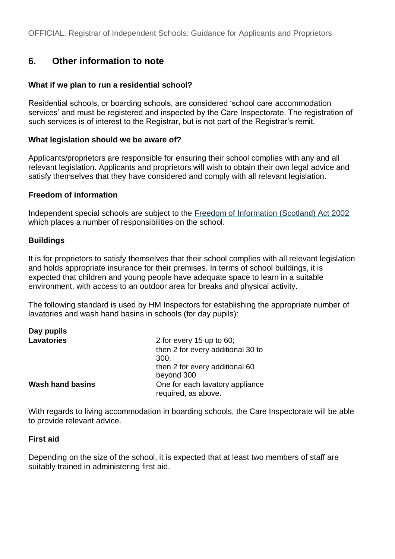### **6. Other information to note**

#### **What if we plan to run a residential school?**

Residential schools, or boarding schools, are considered 'school care accommodation services' and must be registered and inspected by the Care Inspectorate. The registration of such services is of interest to the Registrar, but is not part of the Registrar's remit.

#### **What legislation should we be aware of?**

Applicants/proprietors are responsible for ensuring their school complies with any and all relevant legislation. Applicants and proprietors will wish to obtain their own legal advice and satisfy themselves that they have considered and comply with all relevant legislation.

#### **Freedom of information**

Independent special schools are subject to the [Freedom of Information \(Scotland\) Act 2002](http://www.legislation.gov.uk/asp/2002/13/contents) which places a number of responsibilities on the school.

#### **Buildings**

It is for proprietors to satisfy themselves that their school complies with all relevant legislation and holds appropriate insurance for their premises. In terms of school buildings, it is expected that children and young people have adequate space to learn in a suitable environment, with access to an outdoor area for breaks and physical activity.

The following standard is used by HM Inspectors for establishing the appropriate number of lavatories and wash hand basins in schools (for day pupils):

| Day pupils              |                                   |
|-------------------------|-----------------------------------|
| <b>Lavatories</b>       | 2 for every $15$ up to $60$ ;     |
|                         | then 2 for every additional 30 to |
|                         | 300:                              |
|                         | then 2 for every additional 60    |
|                         | beyond 300                        |
| <b>Wash hand basins</b> | One for each lavatory appliance   |
|                         | required, as above.               |

With regards to living accommodation in boarding schools, the Care Inspectorate will be able to provide relevant advice.

#### **First aid**

Depending on the size of the school, it is expected that at least two members of staff are suitably trained in administering first aid.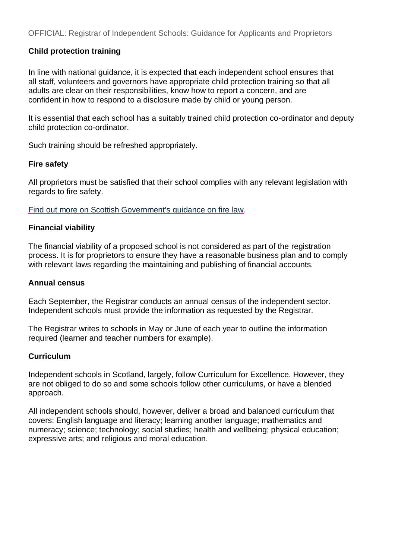#### **Child protection training**

In line with national guidance, it is expected that each independent school ensures that all staff, volunteers and governors have appropriate child protection training so that all adults are clear on their responsibilities, know how to report a concern, and are confident in how to respond to a disclosure made by child or young person.

It is essential that each school has a suitably trained child protection co-ordinator and deputy child protection co-ordinator.

Such training should be refreshed appropriately.

#### **Fire safety**

All proprietors must be satisfied that their school complies with any relevant legislation with regards to fire safety.

[Find out more on Scottish Government's guidance on fire law.](https://www2.gov.scot/Topics/Justice/policies/police-fire-rescue/fire/FireLaw)

#### **Financial viability**

The financial viability of a proposed school is not considered as part of the registration process. It is for proprietors to ensure they have a reasonable business plan and to comply with relevant laws regarding the maintaining and publishing of financial accounts.

#### **Annual census**

Each September, the Registrar conducts an annual census of the independent sector. Independent schools must provide the information as requested by the Registrar.

The Registrar writes to schools in May or June of each year to outline the information required (learner and teacher numbers for example).

#### **Curriculum**

Independent schools in Scotland, largely, follow Curriculum for Excellence. However, they are not obliged to do so and some schools follow other curriculums, or have a blended approach.

All independent schools should, however, deliver a broad and balanced curriculum that covers: English language and literacy; learning another language; mathematics and numeracy; science; technology; social studies; health and wellbeing; physical education; expressive arts; and religious and moral education.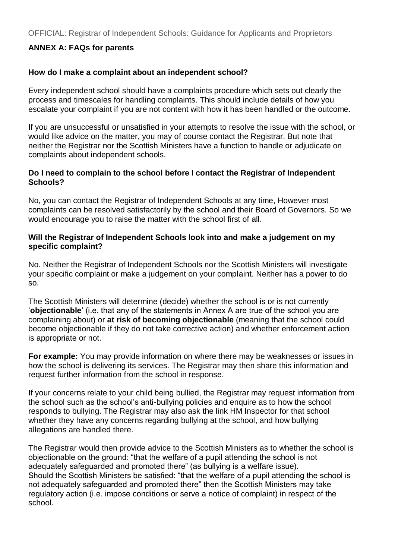#### **ANNEX A: FAQs for parents**

#### **How do I make a complaint about an independent school?**

Every independent school should have a complaints procedure which sets out clearly the process and timescales for handling complaints. This should include details of how you escalate your complaint if you are not content with how it has been handled or the outcome.

If you are unsuccessful or unsatisfied in your attempts to resolve the issue with the school, or would like advice on the matter, you may of course contact the Registrar. But note that neither the Registrar nor the Scottish Ministers have a function to handle or adjudicate on complaints about independent schools.

#### **Do I need to complain to the school before I contact the Registrar of Independent Schools?**

No, you can contact the Registrar of Independent Schools at any time, However most complaints can be resolved satisfactorily by the school and their Board of Governors. So we would encourage you to raise the matter with the school first of all.

#### **Will the Registrar of Independent Schools look into and make a judgement on my specific complaint?**

No. Neither the Registrar of Independent Schools nor the Scottish Ministers will investigate your specific complaint or make a judgement on your complaint. Neither has a power to do so.

The Scottish Ministers will determine (decide) whether the school is or is not currently '**objectionable**' (i.e. that any of the statements in Annex A are true of the school you are complaining about) or **at risk of becoming objectionable** (meaning that the school could become objectionable if they do not take corrective action) and whether enforcement action is appropriate or not.

**For example:** You may provide information on where there may be weaknesses or issues in how the school is delivering its services. The Registrar may then share this information and request further information from the school in response.

If your concerns relate to your child being bullied, the Registrar may request information from the school such as the school's anti-bullying policies and enquire as to how the school responds to bullying. The Registrar may also ask the link HM Inspector for that school whether they have any concerns regarding bullying at the school, and how bullying allegations are handled there.

The Registrar would then provide advice to the Scottish Ministers as to whether the school is objectionable on the ground: "that the welfare of a pupil attending the school is not adequately safeguarded and promoted there" (as bullying is a welfare issue). Should the Scottish Ministers be satisfied: "that the welfare of a pupil attending the school is not adequately safeguarded and promoted there" then the Scottish Ministers may take regulatory action (i.e. impose conditions or serve a notice of complaint) in respect of the school.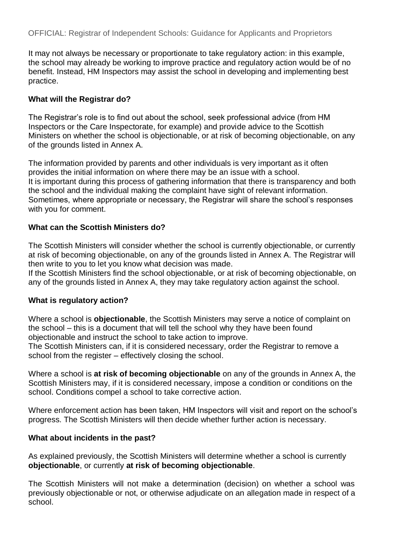It may not always be necessary or proportionate to take regulatory action: in this example, the school may already be working to improve practice and regulatory action would be of no benefit. Instead, HM Inspectors may assist the school in developing and implementing best practice.

#### **What will the Registrar do?**

The Registrar's role is to find out about the school, seek professional advice (from HM Inspectors or the Care Inspectorate, for example) and provide advice to the Scottish Ministers on whether the school is objectionable, or at risk of becoming objectionable, on any of the grounds listed in Annex A.

The information provided by parents and other individuals is very important as it often provides the initial information on where there may be an issue with a school. It is important during this process of gathering information that there is transparency and both the school and the individual making the complaint have sight of relevant information. Sometimes, where appropriate or necessary, the Registrar will share the school's responses with you for comment.

#### **What can the Scottish Ministers do?**

The Scottish Ministers will consider whether the school is currently objectionable, or currently at risk of becoming objectionable, on any of the grounds listed in Annex A. The Registrar will then write to you to let you know what decision was made.

If the Scottish Ministers find the school objectionable, or at risk of becoming objectionable, on any of the grounds listed in Annex A, they may take regulatory action against the school.

#### **What is regulatory action?**

Where a school is **objectionable**, the Scottish Ministers may serve a notice of complaint on the school – this is a document that will tell the school why they have been found objectionable and instruct the school to take action to improve.

The Scottish Ministers can, if it is considered necessary, order the Registrar to remove a school from the register – effectively closing the school.

Where a school is **at risk of becoming objectionable** on any of the grounds in Annex A, the Scottish Ministers may, if it is considered necessary, impose a condition or conditions on the school. Conditions compel a school to take corrective action.

Where enforcement action has been taken, HM Inspectors will visit and report on the school's progress. The Scottish Ministers will then decide whether further action is necessary.

#### **What about incidents in the past?**

As explained previously, the Scottish Ministers will determine whether a school is currently **objectionable**, or currently **at risk of becoming objectionable**.

The Scottish Ministers will not make a determination (decision) on whether a school was previously objectionable or not, or otherwise adjudicate on an allegation made in respect of a school.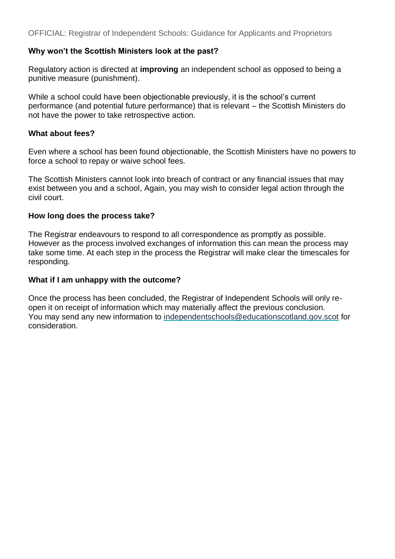#### **Why won't the Scottish Ministers look at the past?**

Regulatory action is directed at **improving** an independent school as opposed to being a punitive measure (punishment).

While a school could have been objectionable previously, it is the school's current performance (and potential future performance) that is relevant – the Scottish Ministers do not have the power to take retrospective action.

#### **What about fees?**

Even where a school has been found objectionable, the Scottish Ministers have no powers to force a school to repay or waive school fees.

The Scottish Ministers cannot look into breach of contract or any financial issues that may exist between you and a school, Again, you may wish to consider legal action through the civil court.

#### **How long does the process take?**

The Registrar endeavours to respond to all correspondence as promptly as possible. However as the process involved exchanges of information this can mean the process may take some time. At each step in the process the Registrar will make clear the timescales for responding.

#### **What if I am unhappy with the outcome?**

Once the process has been concluded, the Registrar of Independent Schools will only reopen it on receipt of information which may materially affect the previous conclusion. You may send any new information to [independentschools@educationscotland.gov.scot](mailto:independentschools@educationscotland.gov.scot) for consideration.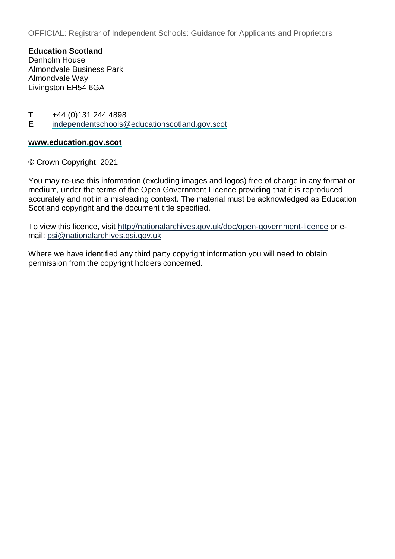**Education Scotland**  Denholm House Almondvale Business Park Almondvale Way Livingston EH54 6GA

**T** +44 (0)131 244 4898<br>**E** independentschools@

**E** [independentschools@educationscotland.gov.scot](mailto:independentschools@educationscotland.gov.scot)

#### **[www.education.gov.scot](http://www.education.gov.scot/)**

© Crown Copyright, 2021

You may re-use this information (excluding images and logos) free of charge in any format or medium, under the terms of the Open Government Licence providing that it is reproduced accurately and not in a misleading context. The material must be acknowledged as Education Scotland copyright and the document title specified.

To view this licence, visit<http://nationalarchives.gov.uk/doc/open-government-licence> or email: [psi@nationalarchives.gsi.gov.uk](mailto:psi@nationalarchives.gsi.gov.uk)

Where we have identified any third party copyright information you will need to obtain permission from the copyright holders concerned.